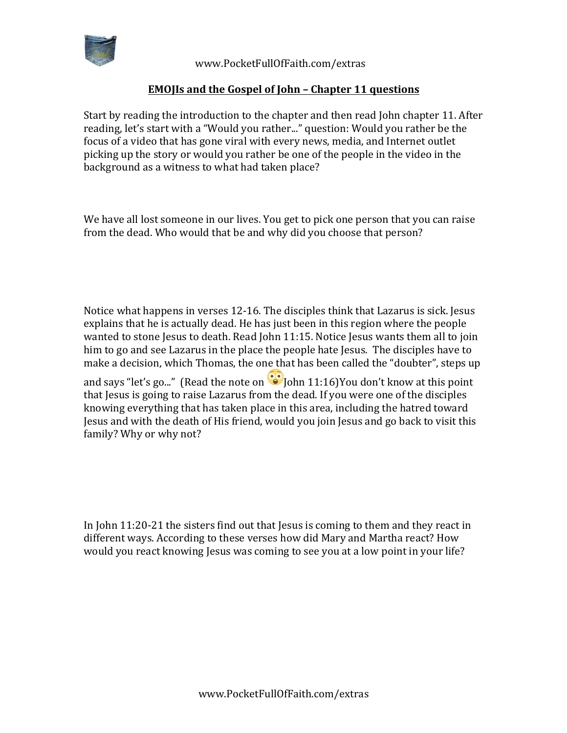

 www.PocketFullOfFaith.com/extras

## **EMOJIs** and the Gospel of John – Chapter 11 questions

Start by reading the introduction to the chapter and then read John chapter 11. After reading, let's start with a "Would you rather..." question: Would you rather be the focus of a video that has gone viral with every news, media, and Internet outlet picking up the story or would you rather be one of the people in the video in the background as a witness to what had taken place?

We have all lost someone in our lives. You get to pick one person that you can raise from the dead. Who would that be and why did you choose that person?

Notice what happens in verses  $12-16$ . The disciples think that Lazarus is sick. Jesus explains that he is actually dead. He has just been in this region where the people wanted to stone Jesus to death. Read John 11:15. Notice Jesus wants them all to join him to go and see Lazarus in the place the people hate Jesus. The disciples have to make a decision, which Thomas, the one that has been called the "doubter", steps up

and says "let's go..." (Read the note on  $\bullet$  John 11:16)You don't know at this point that Jesus is going to raise Lazarus from the dead. If you were one of the disciples knowing everything that has taken place in this area, including the hatred toward Jesus and with the death of His friend, would you join Jesus and go back to visit this family? Why or why not?

In  $John 11:20-21$  the sisters find out that lesus is coming to them and they react in different ways. According to these verses how did Mary and Martha react? How would you react knowing Jesus was coming to see you at a low point in your life?